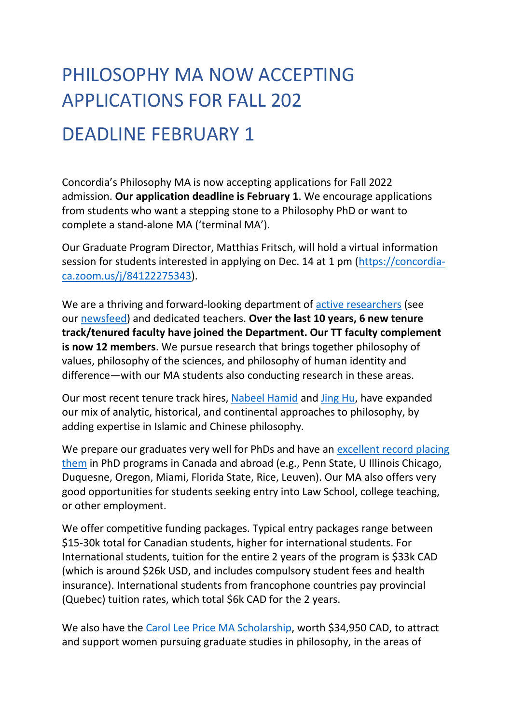## PHILOSOPHY MA NOW ACCEPTING APPLICATIONS FOR FALL 202

## DEADLINE FEBRUARY 1

Concordia's Philosophy MA is now accepting applications for Fall 2022 admission. **Our application deadline is February 1**. We encourage applications from students who want a stepping stone to a Philosophy PhD or want to complete a stand-alone MA ('terminal MA').

Our Graduate Program Director, Matthias Fritsch, will hold a virtual information session for students interested in applying on Dec. 14 at 1 pm [\(https://concordia](https://can01.safelinks.protection.outlook.com/?url=https%3A%2F%2Fconcordia-ca.zoom.us%2Fj%2F84122275343&data=04%7C01%7Cphilosophy.chairassistant%40concordia.ca%7C3a43d6b039334681fef908d9b0396bc4%7C5569f185d22f4e139850ce5b1abcd2e8%7C0%7C0%7C637734582927225415%7CUnknown%7CTWFpbGZsb3d8eyJWIjoiMC4wLjAwMDAiLCJQIjoiV2luMzIiLCJBTiI6Ik1haWwiLCJXVCI6Mn0%3D%7C3000&sdata=HHhAG0jTaWwo3ZCWI5IC4TrWouKn4tfm632np1Fk1Cg%3D&reserved=0)[ca.zoom.us/j/84122275343\)](https://can01.safelinks.protection.outlook.com/?url=https%3A%2F%2Fconcordia-ca.zoom.us%2Fj%2F84122275343&data=04%7C01%7Cphilosophy.chairassistant%40concordia.ca%7C3a43d6b039334681fef908d9b0396bc4%7C5569f185d22f4e139850ce5b1abcd2e8%7C0%7C0%7C637734582927225415%7CUnknown%7CTWFpbGZsb3d8eyJWIjoiMC4wLjAwMDAiLCJQIjoiV2luMzIiLCJBTiI6Ik1haWwiLCJXVCI6Mn0%3D%7C3000&sdata=HHhAG0jTaWwo3ZCWI5IC4TrWouKn4tfm632np1Fk1Cg%3D&reserved=0).

We are a thriving and forward-looking department of [active researchers](https://can01.safelinks.protection.outlook.com/?url=https%3A%2F%2Fphilpeople.org%2Fdepartments%2Fconcordia%2Fphilosophy%2Fpublications&data=04%7C01%7Cphilosophy.chairassistant%40concordia.ca%7C3a43d6b039334681fef908d9b0396bc4%7C5569f185d22f4e139850ce5b1abcd2e8%7C0%7C0%7C637734582927235409%7CUnknown%7CTWFpbGZsb3d8eyJWIjoiMC4wLjAwMDAiLCJQIjoiV2luMzIiLCJBTiI6Ik1haWwiLCJXVCI6Mn0%3D%7C3000&sdata=%2Bbwq72TiPryKAeysyNEH5OtJ16FClYY0FbbSt03K7nE%3D&reserved=0) (see our [newsfeed\)](https://philpeople.org/departments/concordia/philosophy/feed) and dedicated teachers. **Over the last 10 years, 6 new tenure track/tenured faculty have joined the Department. Our TT faculty complement is now 12 members**. We pursue research that brings together philosophy of values, philosophy of the sciences, and philosophy of human identity and difference—with our MA students also conducting research in these areas.

Our most recent tenure track hires, [Nabeel Hamid](https://can01.safelinks.protection.outlook.com/?url=https%3A%2F%2Fwww.concordia.ca%2Fartsci%2Fphilosophy%2Ffaculty.html%3Ffpid%3Dnabeel-hamid&data=04%7C01%7Cphilosophy.chairassistant%40concordia.ca%7C3a43d6b039334681fef908d9b0396bc4%7C5569f185d22f4e139850ce5b1abcd2e8%7C0%7C0%7C637734582927245401%7CUnknown%7CTWFpbGZsb3d8eyJWIjoiMC4wLjAwMDAiLCJQIjoiV2luMzIiLCJBTiI6Ik1haWwiLCJXVCI6Mn0%3D%7C3000&sdata=krqVPWcFNCmL1%2FyQbRMuW0OlYyaf6ASwx%2Bh7%2BdUV5HU%3D&reserved=0) and [Jing Hu,](https://can01.safelinks.protection.outlook.com/?url=https%3A%2F%2Fwww.concordia.ca%2Fartsci%2Fphilosophy%2Ffaculty.html%3Ffpid%3Djing-hu&data=04%7C01%7Cphilosophy.chairassistant%40concordia.ca%7C3a43d6b039334681fef908d9b0396bc4%7C5569f185d22f4e139850ce5b1abcd2e8%7C0%7C0%7C637734582927245401%7CUnknown%7CTWFpbGZsb3d8eyJWIjoiMC4wLjAwMDAiLCJQIjoiV2luMzIiLCJBTiI6Ik1haWwiLCJXVCI6Mn0%3D%7C3000&sdata=zGqM%2BWHF%2BwvTBQc0sPCN%2BGjokgycL%2BjNwbn6or%2BPUuM%3D&reserved=0) have expanded our mix of analytic, historical, and continental approaches to philosophy, by adding expertise in Islamic and Chinese philosophy.

We prepare our graduates very well for PhDs and have an excellent record placing [them](https://can01.safelinks.protection.outlook.com/?url=http%3A%2F%2Fwww.concordia.ca%2Fartsci%2Fphilosophy%2Fprograms%2Fgraduate%2Fgrads-placements.html&data=04%7C01%7Cphilosophy.chairassistant%40concordia.ca%7C3a43d6b039334681fef908d9b0396bc4%7C5569f185d22f4e139850ce5b1abcd2e8%7C0%7C0%7C637734582927255395%7CUnknown%7CTWFpbGZsb3d8eyJWIjoiMC4wLjAwMDAiLCJQIjoiV2luMzIiLCJBTiI6Ik1haWwiLCJXVCI6Mn0%3D%7C3000&sdata=hS494OKm2BFtTiATCSZ8Whnp%2FPmYg%2BszSikrJv61XZc%3D&reserved=0) in PhD programs in Canada and abroad (e.g., Penn State, U Illinois Chicago, Duquesne, Oregon, Miami, Florida State, Rice, Leuven). Our MA also offers very good opportunities for students seeking entry into Law School, college teaching, or other employment.

We offer competitive funding packages. Typical entry packages range between \$15-30k total for Canadian students, higher for international students. For International students, tuition for the entire 2 years of the program is \$33k CAD (which is around \$26k USD, and includes compulsory student fees and health insurance). International students from francophone countries pay provincial (Quebec) tuition rates, which total \$6k CAD for the 2 years.

We also have the [Carol Lee Price MA Scholarship,](https://can01.safelinks.protection.outlook.com/?url=http%3A%2F%2Fwww.concordia.ca%2Fartsci%2Fphilosophy%2Fprograms%2Fgraduate%2Fcarol-lee-price-scholarship.html&data=04%7C01%7Cphilosophy.chairassistant%40concordia.ca%7C3a43d6b039334681fef908d9b0396bc4%7C5569f185d22f4e139850ce5b1abcd2e8%7C0%7C0%7C637734582927255395%7CUnknown%7CTWFpbGZsb3d8eyJWIjoiMC4wLjAwMDAiLCJQIjoiV2luMzIiLCJBTiI6Ik1haWwiLCJXVCI6Mn0%3D%7C3000&sdata=zcf1TjcyS8g17VEpXkaPfVC%2FZCxBGPKmfE%2FDtJaDFPY%3D&reserved=0) worth \$34,950 CAD, to attract and support women pursuing graduate studies in philosophy, in the areas of